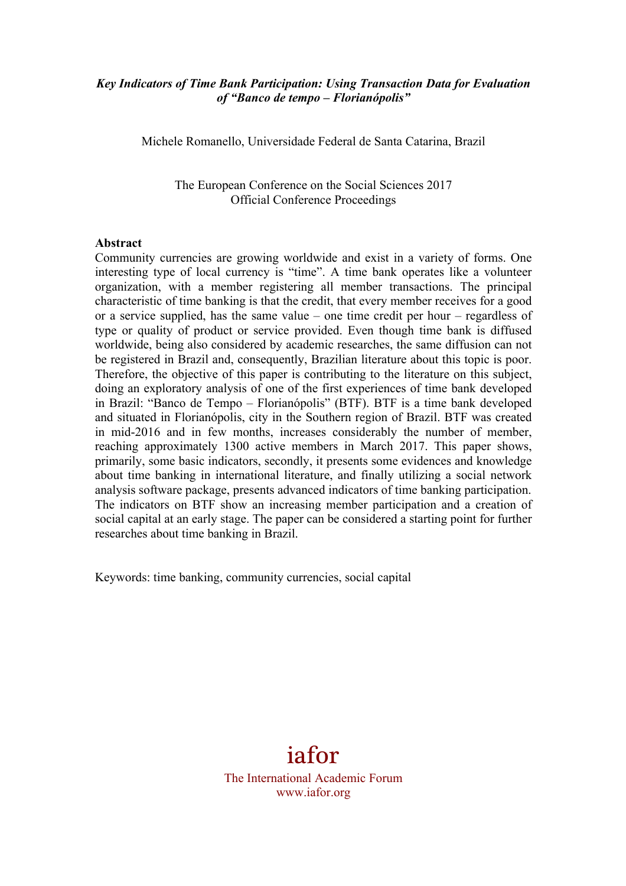## *Key Indicators of Time Bank Participation: Using Transaction Data for Evaluation of "Banco de tempo – Florianópolis"*

Michele Romanello, Universidade Federal de Santa Catarina, Brazil

The European Conference on the Social Sciences 2017 Official Conference Proceedings

#### **Abstract**

Community currencies are growing worldwide and exist in a variety of forms. One interesting type of local currency is "time". A time bank operates like a volunteer organization, with a member registering all member transactions. The principal characteristic of time banking is that the credit, that every member receives for a good or a service supplied, has the same value – one time credit per hour – regardless of type or quality of product or service provided. Even though time bank is diffused worldwide, being also considered by academic researches, the same diffusion can not be registered in Brazil and, consequently, Brazilian literature about this topic is poor. Therefore, the objective of this paper is contributing to the literature on this subject, doing an exploratory analysis of one of the first experiences of time bank developed in Brazil: "Banco de Tempo – Florianópolis" (BTF). BTF is a time bank developed and situated in Florianópolis, city in the Southern region of Brazil. BTF was created in mid-2016 and in few months, increases considerably the number of member, reaching approximately 1300 active members in March 2017. This paper shows, primarily, some basic indicators, secondly, it presents some evidences and knowledge about time banking in international literature, and finally utilizing a social network analysis software package, presents advanced indicators of time banking participation. The indicators on BTF show an increasing member participation and a creation of social capital at an early stage. The paper can be considered a starting point for further researches about time banking in Brazil.

Keywords: time banking, community currencies, social capital

# iafor

The International Academic Forum www.iafor.org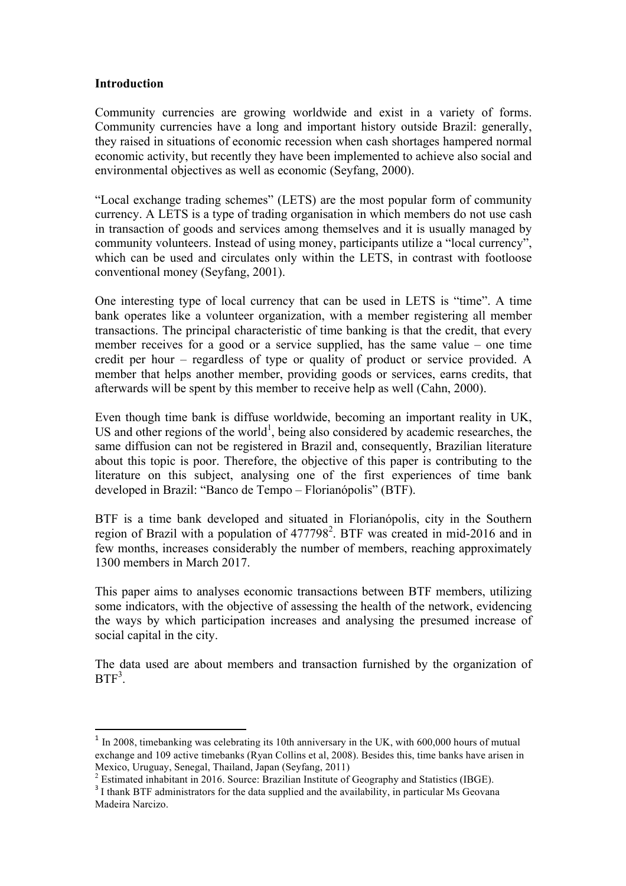### **Introduction**

Community currencies are growing worldwide and exist in a variety of forms. Community currencies have a long and important history outside Brazil: generally, they raised in situations of economic recession when cash shortages hampered normal economic activity, but recently they have been implemented to achieve also social and environmental objectives as well as economic (Seyfang, 2000).

"Local exchange trading schemes" (LETS) are the most popular form of community currency. A LETS is a type of trading organisation in which members do not use cash in transaction of goods and services among themselves and it is usually managed by community volunteers. Instead of using money, participants utilize a "local currency", which can be used and circulates only within the LETS, in contrast with footloose conventional money (Seyfang, 2001).

One interesting type of local currency that can be used in LETS is "time". A time bank operates like a volunteer organization, with a member registering all member transactions. The principal characteristic of time banking is that the credit, that every member receives for a good or a service supplied, has the same value – one time credit per hour – regardless of type or quality of product or service provided. A member that helps another member, providing goods or services, earns credits, that afterwards will be spent by this member to receive help as well (Cahn, 2000).

Even though time bank is diffuse worldwide, becoming an important reality in UK, US and other regions of the world<sup>1</sup>, being also considered by academic researches, the same diffusion can not be registered in Brazil and, consequently, Brazilian literature about this topic is poor. Therefore, the objective of this paper is contributing to the literature on this subject, analysing one of the first experiences of time bank developed in Brazil: "Banco de Tempo – Florianópolis" (BTF).

BTF is a time bank developed and situated in Florianópolis, city in the Southern region of Brazil with a population of  $477798^2$ . BTF was created in mid-2016 and in few months, increases considerably the number of members, reaching approximately 1300 members in March 2017.

This paper aims to analyses economic transactions between BTF members, utilizing some indicators, with the objective of assessing the health of the network, evidencing the ways by which participation increases and analysing the presumed increase of social capital in the city.

The data used are about members and transaction furnished by the organization of  $BTF<sup>3</sup>$ .

<u> 1989 - Johann Stein, fransk politik (d. 1989)</u>

<sup>&</sup>lt;sup>1</sup> In 2008, timebanking was celebrating its 10th anniversary in the UK, with 600,000 hours of mutual exchange and 109 active timebanks (Ryan Collins et al, 2008). Besides this, time banks have arisen in Mexico, Uruguay, Senegal, Thailand, Japan (Seyfang, 2011)

<sup>&</sup>lt;sup>2</sup> Estimated inhabitant in 2016. Source: Brazilian Institute of Geography and Statistics (IBGE).<br><sup>3</sup> I thank BTF administrators for the data supplied and the availability, in particular Ms Geovana

Madeira Narcizo.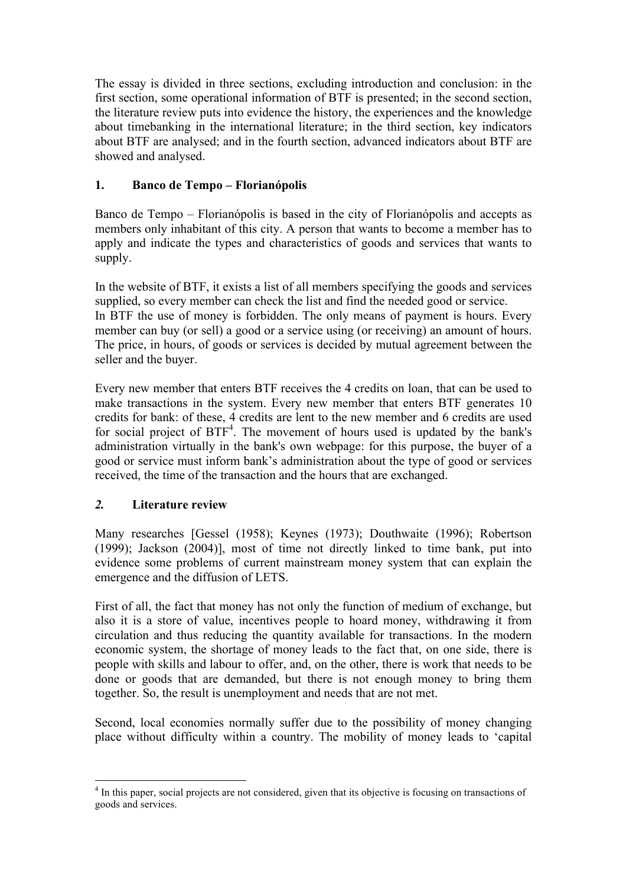The essay is divided in three sections, excluding introduction and conclusion: in the first section, some operational information of BTF is presented; in the second section, the literature review puts into evidence the history, the experiences and the knowledge about timebanking in the international literature; in the third section, key indicators about BTF are analysed; and in the fourth section, advanced indicators about BTF are showed and analysed.

# **1. Banco de Tempo – Florianópolis**

Banco de Tempo – Florianópolis is based in the city of Florianópolis and accepts as members only inhabitant of this city. A person that wants to become a member has to apply and indicate the types and characteristics of goods and services that wants to supply.

In the website of BTF, it exists a list of all members specifying the goods and services supplied, so every member can check the list and find the needed good or service. In BTF the use of money is forbidden. The only means of payment is hours. Every member can buy (or sell) a good or a service using (or receiving) an amount of hours. The price, in hours, of goods or services is decided by mutual agreement between the seller and the buyer.

Every new member that enters BTF receives the 4 credits on loan, that can be used to make transactions in the system. Every new member that enters BTF generates 10 credits for bank: of these, 4 credits are lent to the new member and 6 credits are used for social project of  $BTF<sup>4</sup>$ . The movement of hours used is updated by the bank's administration virtually in the bank's own webpage: for this purpose, the buyer of a good or service must inform bank's administration about the type of good or services received, the time of the transaction and the hours that are exchanged.

# *2.* **Literature review**

 

Many researches [Gessel (1958); Keynes (1973); Douthwaite (1996); Robertson (1999); Jackson (2004)], most of time not directly linked to time bank, put into evidence some problems of current mainstream money system that can explain the emergence and the diffusion of LETS.

First of all, the fact that money has not only the function of medium of exchange, but also it is a store of value, incentives people to hoard money, withdrawing it from circulation and thus reducing the quantity available for transactions. In the modern economic system, the shortage of money leads to the fact that, on one side, there is people with skills and labour to offer, and, on the other, there is work that needs to be done or goods that are demanded, but there is not enough money to bring them together. So, the result is unemployment and needs that are not met.

Second, local economies normally suffer due to the possibility of money changing place without difficulty within a country. The mobility of money leads to 'capital

<sup>&</sup>lt;sup>4</sup> In this paper, social projects are not considered, given that its objective is focusing on transactions of goods and services.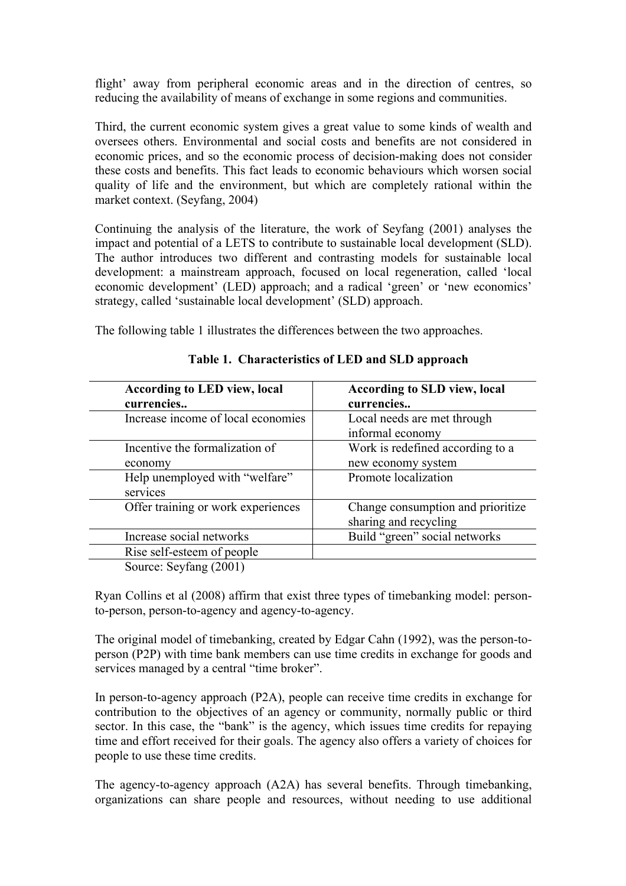flight' away from peripheral economic areas and in the direction of centres, so reducing the availability of means of exchange in some regions and communities.

Third, the current economic system gives a great value to some kinds of wealth and oversees others. Environmental and social costs and benefits are not considered in economic prices, and so the economic process of decision-making does not consider these costs and benefits. This fact leads to economic behaviours which worsen social quality of life and the environment, but which are completely rational within the market context. (Seyfang, 2004)

Continuing the analysis of the literature, the work of Seyfang (2001) analyses the impact and potential of a LETS to contribute to sustainable local development (SLD). The author introduces two different and contrasting models for sustainable local development: a mainstream approach, focused on local regeneration, called 'local economic development' (LED) approach; and a radical 'green' or 'new economics' strategy, called 'sustainable local development' (SLD) approach.

The following table 1 illustrates the differences between the two approaches.

| <b>According to LED view, local</b><br>currencies        | <b>According to SLD view, local</b><br>currencies          |
|----------------------------------------------------------|------------------------------------------------------------|
| Increase income of local economies                       | Local needs are met through<br>informal economy            |
| Incentive the formalization of<br>economy                | Work is redefined according to a<br>new economy system     |
| Help unemployed with "welfare"<br>services               | Promote localization                                       |
| Offer training or work experiences                       | Change consumption and prioritize<br>sharing and recycling |
| Increase social networks                                 | Build "green" social networks                              |
| Rise self-esteem of people                               |                                                            |
| $\Omega_{\text{out}}$ a $\Omega_{\text{out}}$ ang (2001) |                                                            |

**Table 1. Characteristics of LED and SLD approach**

Source: Seyfang (2001)

Ryan Collins et al (2008) affirm that exist three types of timebanking model: personto-person, person-to-agency and agency-to-agency.

The original model of timebanking, created by Edgar Cahn (1992), was the person-toperson (P2P) with time bank members can use time credits in exchange for goods and services managed by a central "time broker".

In person-to-agency approach (P2A), people can receive time credits in exchange for contribution to the objectives of an agency or community, normally public or third sector. In this case, the "bank" is the agency, which issues time credits for repaying time and effort received for their goals. The agency also offers a variety of choices for people to use these time credits.

The agency-to-agency approach (A2A) has several benefits. Through timebanking, organizations can share people and resources, without needing to use additional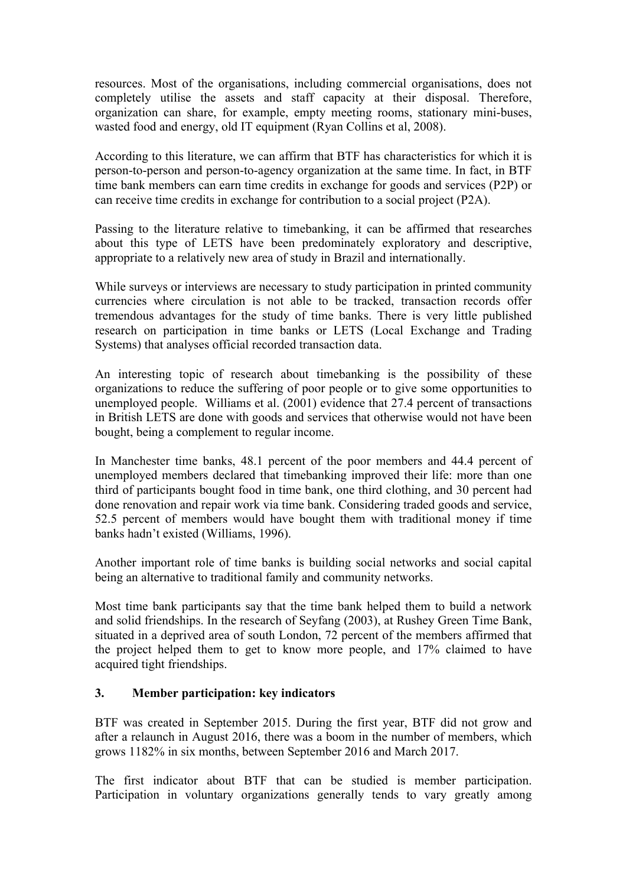resources. Most of the organisations, including commercial organisations, does not completely utilise the assets and staff capacity at their disposal. Therefore, organization can share, for example, empty meeting rooms, stationary mini-buses, wasted food and energy, old IT equipment (Ryan Collins et al, 2008).

According to this literature, we can affirm that BTF has characteristics for which it is person-to-person and person-to-agency organization at the same time. In fact, in BTF time bank members can earn time credits in exchange for goods and services (P2P) or can receive time credits in exchange for contribution to a social project (P2A).

Passing to the literature relative to timebanking, it can be affirmed that researches about this type of LETS have been predominately exploratory and descriptive, appropriate to a relatively new area of study in Brazil and internationally.

While surveys or interviews are necessary to study participation in printed community currencies where circulation is not able to be tracked, transaction records offer tremendous advantages for the study of time banks. There is very little published research on participation in time banks or LETS (Local Exchange and Trading Systems) that analyses official recorded transaction data.

An interesting topic of research about timebanking is the possibility of these organizations to reduce the suffering of poor people or to give some opportunities to unemployed people. Williams et al. (2001) evidence that 27.4 percent of transactions in British LETS are done with goods and services that otherwise would not have been bought, being a complement to regular income.

In Manchester time banks, 48.1 percent of the poor members and 44.4 percent of unemployed members declared that timebanking improved their life: more than one third of participants bought food in time bank, one third clothing, and 30 percent had done renovation and repair work via time bank. Considering traded goods and service, 52.5 percent of members would have bought them with traditional money if time banks hadn't existed (Williams, 1996).

Another important role of time banks is building social networks and social capital being an alternative to traditional family and community networks.

Most time bank participants say that the time bank helped them to build a network and solid friendships. In the research of Seyfang (2003), at Rushey Green Time Bank, situated in a deprived area of south London, 72 percent of the members affirmed that the project helped them to get to know more people, and 17% claimed to have acquired tight friendships.

# **3. Member participation: key indicators**

BTF was created in September 2015. During the first year, BTF did not grow and after a relaunch in August 2016, there was a boom in the number of members, which grows 1182% in six months, between September 2016 and March 2017.

The first indicator about BTF that can be studied is member participation. Participation in voluntary organizations generally tends to vary greatly among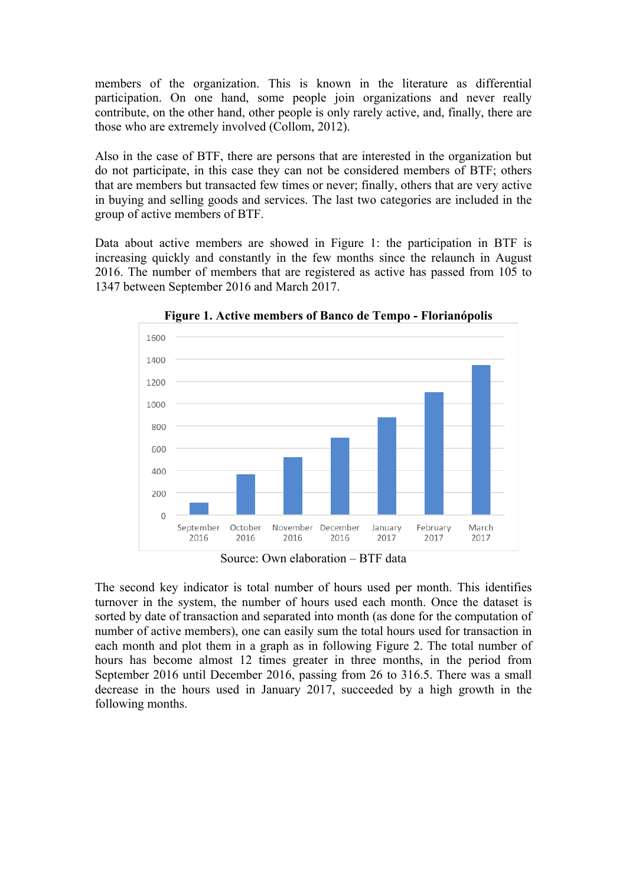members of the organization. This is known in the literature as differential participation. On one hand, some people join organizations and never really contribute, on the other hand, other people is only rarely active, and, finally, there are those who are extremely involved (Collom, 2012).

Also in the case of BTF, there are persons that are interested in the organization but do not participate, in this case they can not be considered members of BTF; others that are members but transacted few times or never; finally, others that are very active in buying and selling goods and services. The last two categories are included in the group of active members of BTF.

Data about active members are showed in Figure 1: the participation in BTF is increasing quickly and constantly in the few months since the relaunch in August 2016. The number of members that are registered as active has passed from 105 to 1347 between September 2016 and March 2017.



**Figure 1. Active members of Banco de Tempo - Florianópolis**

Source: Own elaboration – BTF data

The second key indicator is total number of hours used per month. This identifies turnover in the system, the number of hours used each month. Once the dataset is sorted by date of transaction and separated into month (as done for the computation of number of active members), one can easily sum the total hours used for transaction in each month and plot them in a graph as in following Figure 2. The total number of hours has become almost 12 times greater in three months, in the period from September 2016 until December 2016, passing from 26 to 316.5. There was a small decrease in the hours used in January 2017, succeeded by a high growth in the following months.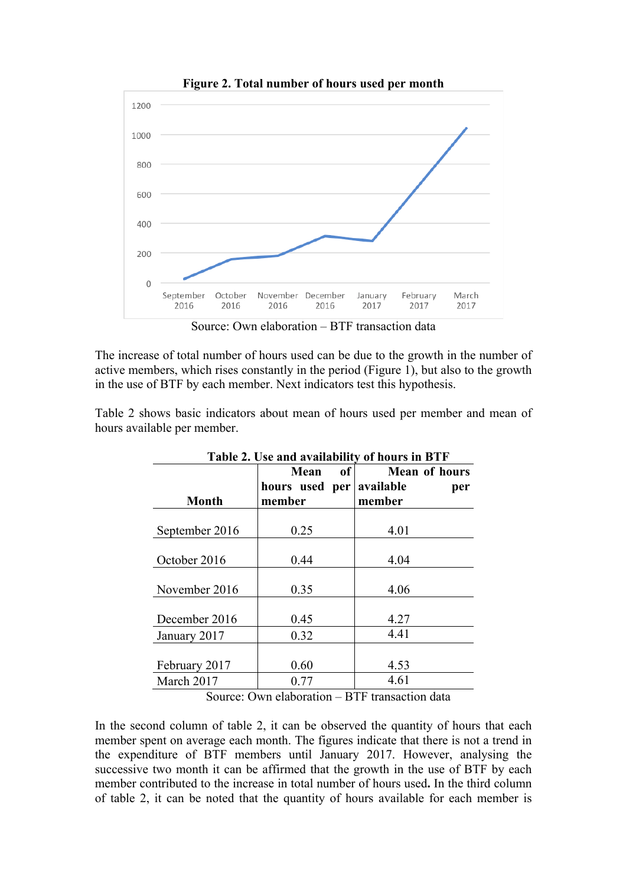

**Figure 2. Total number of hours used per month**

Source: Own elaboration – BTF transaction data

The increase of total number of hours used can be due to the growth in the number of active members, which rises constantly in the period (Figure 1), but also to the growth in the use of BTF by each member. Next indicators test this hypothesis.

Table 2 shows basic indicators about mean of hours used per member and mean of hours available per member.

| Table 2. Use and availability of hours in BTF |                              |                                   |  |  |
|-----------------------------------------------|------------------------------|-----------------------------------|--|--|
|                                               | Mean<br>of<br>hours used per | <b>Mean of hours</b><br>available |  |  |
| <b>Month</b>                                  | member                       | per<br>member                     |  |  |
| September 2016                                | 0.25                         | 4.01                              |  |  |
| October 2016                                  | 0.44                         | 4.04                              |  |  |
| November 2016                                 | 0.35                         | 4.06                              |  |  |
| December 2016                                 | 0.45                         | 4.27                              |  |  |
| January 2017                                  | 0.32                         | 4.41                              |  |  |
|                                               |                              |                                   |  |  |
| February 2017                                 | 0.60                         | 4.53                              |  |  |
| March 2017                                    | 0.77                         | 4.61                              |  |  |

**Table 2. Use and availability of hours in BTF**

Source: Own elaboration – BTF transaction data

In the second column of table 2, it can be observed the quantity of hours that each member spent on average each month. The figures indicate that there is not a trend in the expenditure of BTF members until January 2017. However, analysing the successive two month it can be affirmed that the growth in the use of BTF by each member contributed to the increase in total number of hours used**.** In the third column of table 2, it can be noted that the quantity of hours available for each member is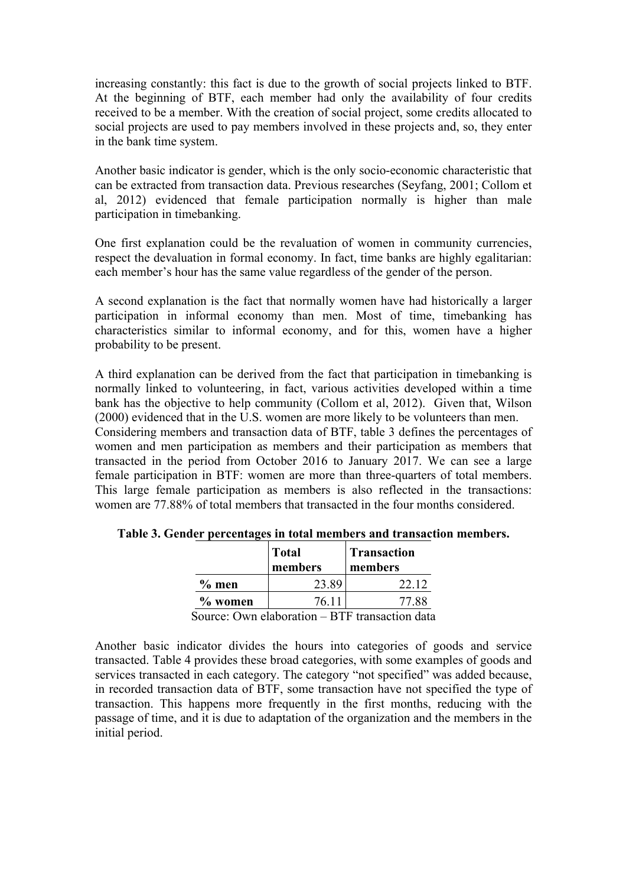increasing constantly: this fact is due to the growth of social projects linked to BTF. At the beginning of BTF, each member had only the availability of four credits received to be a member. With the creation of social project, some credits allocated to social projects are used to pay members involved in these projects and, so, they enter in the bank time system.

Another basic indicator is gender, which is the only socio-economic characteristic that can be extracted from transaction data. Previous researches (Seyfang, 2001; Collom et al, 2012) evidenced that female participation normally is higher than male participation in timebanking.

One first explanation could be the revaluation of women in community currencies, respect the devaluation in formal economy. In fact, time banks are highly egalitarian: each member's hour has the same value regardless of the gender of the person.

A second explanation is the fact that normally women have had historically a larger participation in informal economy than men. Most of time, timebanking has characteristics similar to informal economy, and for this, women have a higher probability to be present.

A third explanation can be derived from the fact that participation in timebanking is normally linked to volunteering, in fact, various activities developed within a time bank has the objective to help community (Collom et al, 2012). Given that, Wilson (2000) evidenced that in the U.S. women are more likely to be volunteers than men. Considering members and transaction data of BTF, table 3 defines the percentages of women and men participation as members and their participation as members that transacted in the period from October 2016 to January 2017. We can see a large female participation in BTF: women are more than three-quarters of total members. This large female participation as members is also reflected in the transactions: women are 77.88% of total members that transacted in the four months considered.

|          | <b>Total</b><br>members | <b>Transaction</b><br>members |
|----------|-------------------------|-------------------------------|
| $\%$ men | 23.89                   | 22.12                         |
| % women  | 76 11                   | 77.88                         |

**Table 3. Gender percentages in total members and transaction members.**

Source: Own elaboration – BTF transaction data

Another basic indicator divides the hours into categories of goods and service transacted. Table 4 provides these broad categories, with some examples of goods and services transacted in each category. The category "not specified" was added because, in recorded transaction data of BTF, some transaction have not specified the type of transaction. This happens more frequently in the first months, reducing with the passage of time, and it is due to adaptation of the organization and the members in the initial period.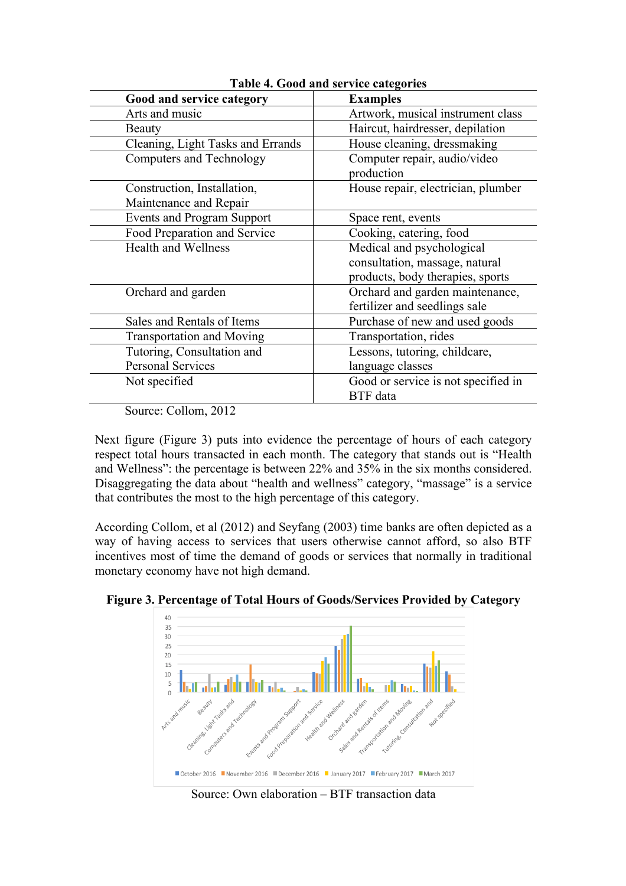| Good and service category                             | <b>Examples</b>                            |
|-------------------------------------------------------|--------------------------------------------|
| Arts and music                                        | Artwork, musical instrument class          |
| <b>Beauty</b>                                         | Haircut, hairdresser, depilation           |
| Cleaning, Light Tasks and Errands                     | House cleaning, dressmaking                |
| <b>Computers and Technology</b>                       | Computer repair, audio/video<br>production |
| Construction, Installation,<br>Maintenance and Repair | House repair, electrician, plumber         |
| <b>Events and Program Support</b>                     | Space rent, events                         |
| Food Preparation and Service                          | Cooking, catering, food                    |
| <b>Health and Wellness</b>                            | Medical and psychological                  |
|                                                       | consultation, massage, natural             |
|                                                       | products, body therapies, sports           |
| Orchard and garden                                    | Orchard and garden maintenance,            |
|                                                       | fertilizer and seedlings sale              |
| Sales and Rentals of Items                            | Purchase of new and used goods             |
| <b>Transportation and Moving</b>                      | Transportation, rides                      |
| Tutoring, Consultation and                            | Lessons, tutoring, childcare,              |
| Personal Services                                     | language classes                           |
| Not specified                                         | Good or service is not specified in        |
|                                                       | <b>BTF</b> data                            |

**Table 4. Good and service categories**

Source: Collom, 2012

Next figure (Figure 3) puts into evidence the percentage of hours of each category respect total hours transacted in each month. The category that stands out is "Health and Wellness": the percentage is between 22% and 35% in the six months considered. Disaggregating the data about "health and wellness" category, "massage" is a service that contributes the most to the high percentage of this category.

According Collom, et al (2012) and Seyfang (2003) time banks are often depicted as a way of having access to services that users otherwise cannot afford, so also BTF incentives most of time the demand of goods or services that normally in traditional monetary economy have not high demand.



**Figure 3. Percentage of Total Hours of Goods/Services Provided by Category**

Source: Own elaboration – BTF transaction data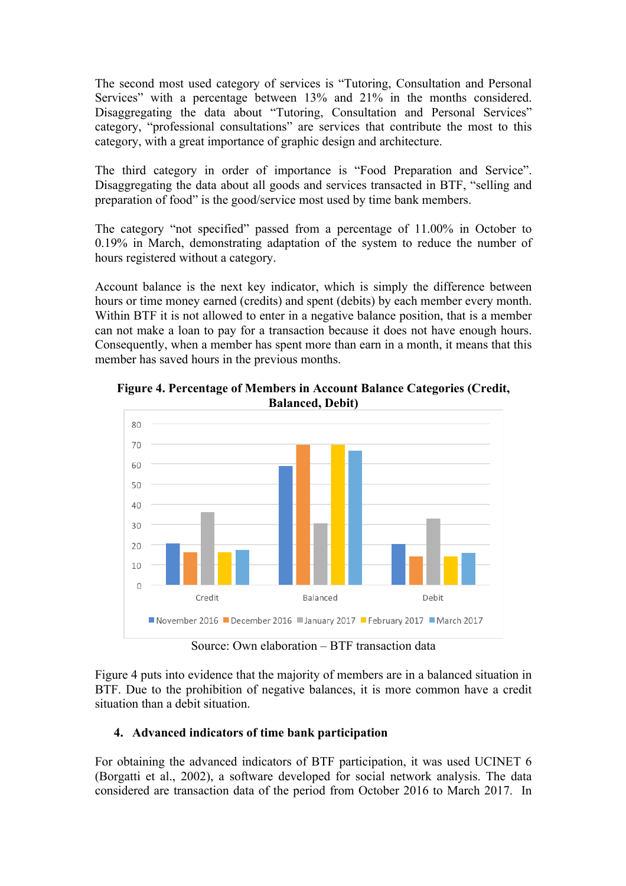The second most used category of services is "Tutoring, Consultation and Personal Services" with a percentage between 13% and 21% in the months considered. Disaggregating the data about "Tutoring, Consultation and Personal Services" category, "professional consultations" are services that contribute the most to this category, with a great importance of graphic design and architecture.

The third category in order of importance is "Food Preparation and Service". Disaggregating the data about all goods and services transacted in BTF, "selling and preparation of food" is the good/service most used by time bank members.

The category "not specified" passed from a percentage of 11.00% in October to 0.19% in March, demonstrating adaptation of the system to reduce the number of hours registered without a category.

Account balance is the next key indicator, which is simply the difference between hours or time money earned (credits) and spent (debits) by each member every month. Within BTF it is not allowed to enter in a negative balance position, that is a member can not make a loan to pay for a transaction because it does not have enough hours. Consequently, when a member has spent more than earn in a month, it means that this member has saved hours in the previous months.



**Figure 4. Percentage of Members in Account Balance Categories (Credit, Balanced, Debit)**

Source: Own elaboration – BTF transaction data

Figure 4 puts into evidence that the majority of members are in a balanced situation in BTF. Due to the prohibition of negative balances, it is more common have a credit situation than a debit situation.

# **4. Advanced indicators of time bank participation**

For obtaining the advanced indicators of BTF participation, it was used UCINET 6 (Borgatti et al., 2002), a software developed for social network analysis. The data considered are transaction data of the period from October 2016 to March 2017. In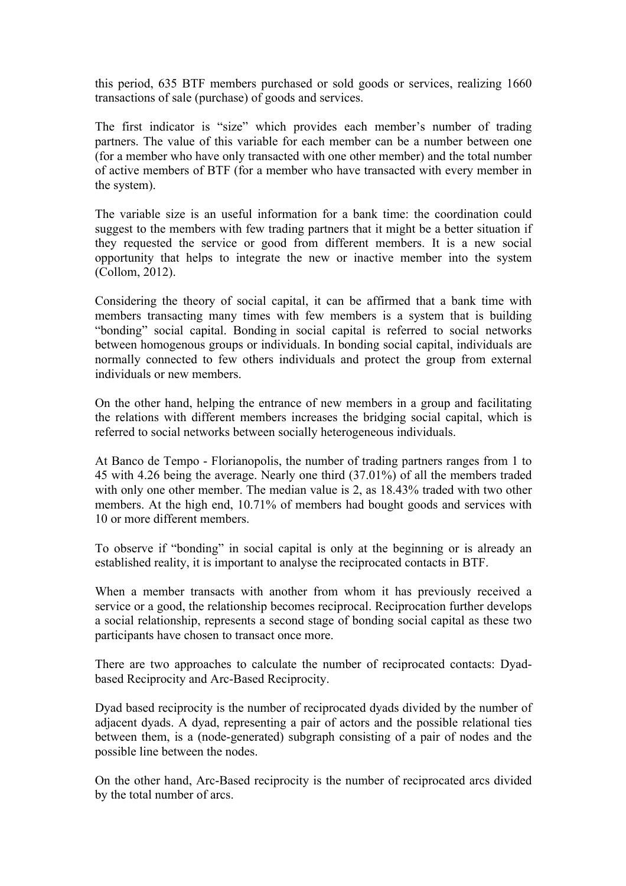this period, 635 BTF members purchased or sold goods or services, realizing 1660 transactions of sale (purchase) of goods and services.

The first indicator is "size" which provides each member's number of trading partners. The value of this variable for each member can be a number between one (for a member who have only transacted with one other member) and the total number of active members of BTF (for a member who have transacted with every member in the system).

The variable size is an useful information for a bank time: the coordination could suggest to the members with few trading partners that it might be a better situation if they requested the service or good from different members. It is a new social opportunity that helps to integrate the new or inactive member into the system (Collom, 2012).

Considering the theory of social capital, it can be affirmed that a bank time with members transacting many times with few members is a system that is building "bonding" social capital. Bonding in social capital is referred to social networks between homogenous groups or individuals. In bonding social capital, individuals are normally connected to few others individuals and protect the group from external individuals or new members.

On the other hand, helping the entrance of new members in a group and facilitating the relations with different members increases the bridging social capital, which is referred to social networks between socially heterogeneous individuals.

At Banco de Tempo - Florianopolis, the number of trading partners ranges from 1 to 45 with 4.26 being the average. Nearly one third (37.01%) of all the members traded with only one other member. The median value is 2, as  $18.43\%$  traded with two other members. At the high end, 10.71% of members had bought goods and services with 10 or more different members.

To observe if "bonding" in social capital is only at the beginning or is already an established reality, it is important to analyse the reciprocated contacts in BTF.

When a member transacts with another from whom it has previously received a service or a good, the relationship becomes reciprocal. Reciprocation further develops a social relationship, represents a second stage of bonding social capital as these two participants have chosen to transact once more.

There are two approaches to calculate the number of reciprocated contacts: Dyadbased Reciprocity and Arc-Based Reciprocity.

Dyad based reciprocity is the number of reciprocated dyads divided by the number of adjacent dyads. A dyad, representing a pair of actors and the possible relational ties between them, is a (node-generated) subgraph consisting of a pair of nodes and the possible line between the nodes.

On the other hand, Arc-Based reciprocity is the number of reciprocated arcs divided by the total number of arcs.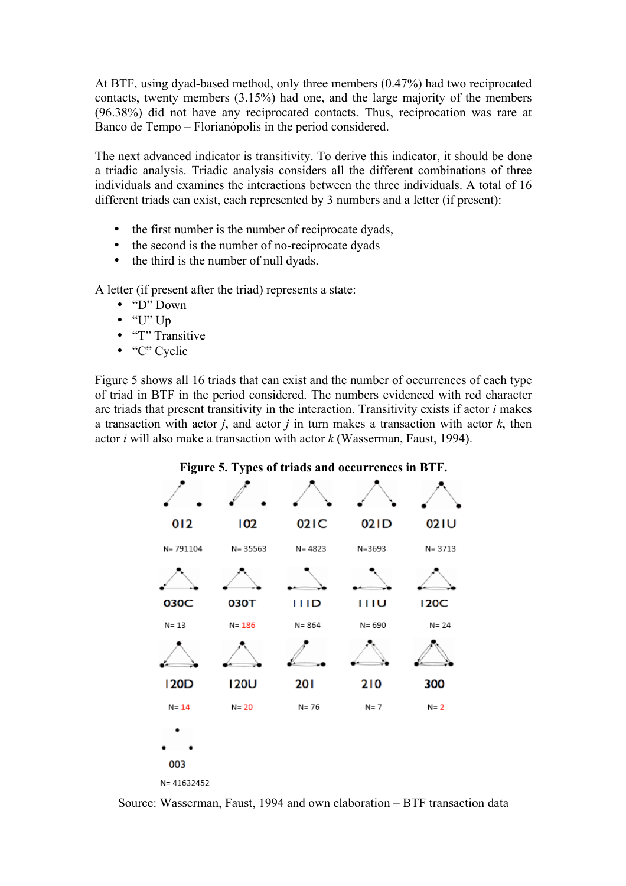At BTF, using dyad-based method, only three members (0.47%) had two reciprocated contacts, twenty members (3.15%) had one, and the large majority of the members (96.38%) did not have any reciprocated contacts. Thus, reciprocation was rare at Banco de Tempo – Florianópolis in the period considered.

The next advanced indicator is transitivity. To derive this indicator, it should be done a triadic analysis. Triadic analysis considers all the different combinations of three individuals and examines the interactions between the three individuals. A total of 16 different triads can exist, each represented by 3 numbers and a letter (if present):

- the first number is the number of reciprocate dyads,
- the second is the number of no-reciprocate dyads
- the third is the number of null dyads.

A letter (if present after the triad) represents a state:

- "D" Down
- $\bullet$  "U" Up
- "T" Transitive
- "C" Cyclic

Figure 5 shows all 16 triads that can exist and the number of occurrences of each type of triad in BTF in the period considered. The numbers evidenced with red character are triads that present transitivity in the interaction. Transitivity exists if actor *i* makes a transaction with actor *j*, and actor *j* in turn makes a transaction with actor *k*, then actor *i* will also make a transaction with actor *k* (Wasserman, Faust, 1994).



**Figure 5. Types of triads and occurrences in BTF.**

Source: Wasserman, Faust, 1994 and own elaboration – BTF transaction data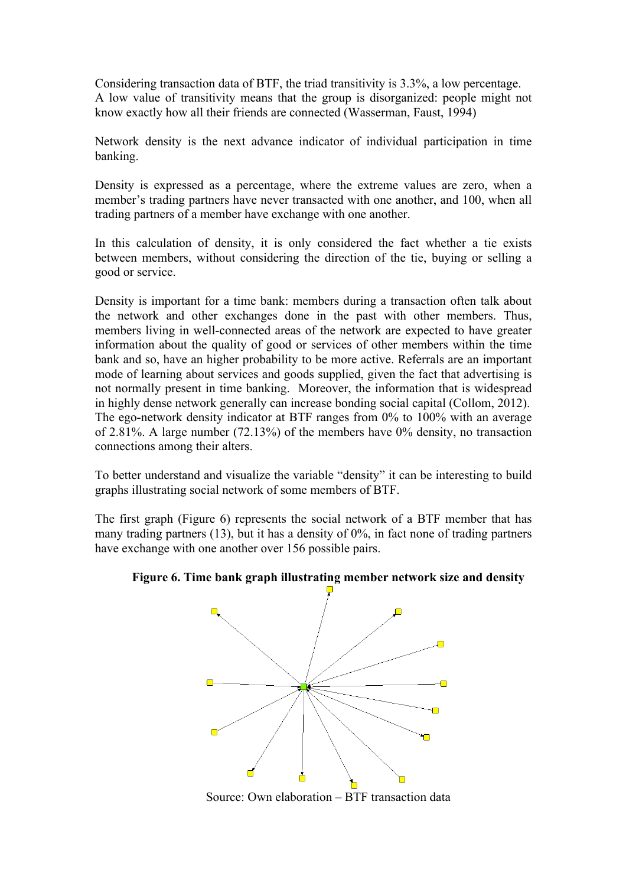Considering transaction data of BTF, the triad transitivity is 3.3%, a low percentage. A low value of transitivity means that the group is disorganized: people might not know exactly how all their friends are connected (Wasserman, Faust, 1994)

Network density is the next advance indicator of individual participation in time banking.

Density is expressed as a percentage, where the extreme values are zero, when a member's trading partners have never transacted with one another, and 100, when all trading partners of a member have exchange with one another.

In this calculation of density, it is only considered the fact whether a tie exists between members, without considering the direction of the tie, buying or selling a good or service.

Density is important for a time bank: members during a transaction often talk about the network and other exchanges done in the past with other members. Thus, members living in well-connected areas of the network are expected to have greater information about the quality of good or services of other members within the time bank and so, have an higher probability to be more active. Referrals are an important mode of learning about services and goods supplied, given the fact that advertising is not normally present in time banking. Moreover, the information that is widespread in highly dense network generally can increase bonding social capital (Collom, 2012). The ego-network density indicator at BTF ranges from 0% to 100% with an average of 2.81%. A large number (72.13%) of the members have 0% density, no transaction connections among their alters.

To better understand and visualize the variable "density" it can be interesting to build graphs illustrating social network of some members of BTF.

The first graph (Figure 6) represents the social network of a BTF member that has many trading partners (13), but it has a density of 0%, in fact none of trading partners have exchange with one another over 156 possible pairs.





Source: Own elaboration – BTF transaction data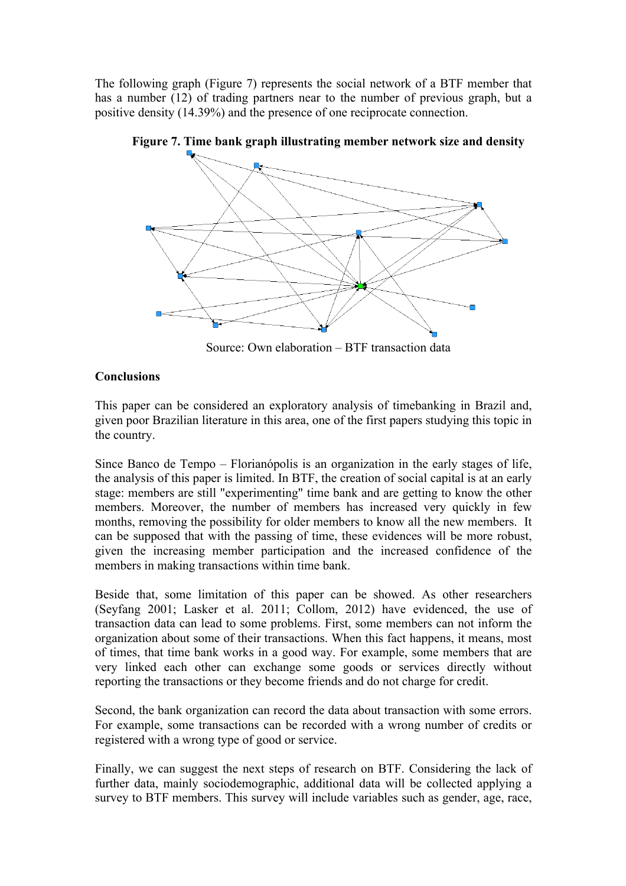The following graph (Figure 7) represents the social network of a BTF member that has a number (12) of trading partners near to the number of previous graph, but a positive density (14.39%) and the presence of one reciprocate connection.



**Figure 7. Time bank graph illustrating member network size and density**

Source: Own elaboration – BTF transaction data

## **Conclusions**

This paper can be considered an exploratory analysis of timebanking in Brazil and, given poor Brazilian literature in this area, one of the first papers studying this topic in the country.

Since Banco de Tempo – Florianópolis is an organization in the early stages of life, the analysis of this paper is limited. In BTF, the creation of social capital is at an early stage: members are still "experimenting" time bank and are getting to know the other members. Moreover, the number of members has increased very quickly in few months, removing the possibility for older members to know all the new members. It can be supposed that with the passing of time, these evidences will be more robust, given the increasing member participation and the increased confidence of the members in making transactions within time bank.

Beside that, some limitation of this paper can be showed. As other researchers (Seyfang 2001; Lasker et al. 2011; Collom, 2012) have evidenced, the use of transaction data can lead to some problems. First, some members can not inform the organization about some of their transactions. When this fact happens, it means, most of times, that time bank works in a good way. For example, some members that are very linked each other can exchange some goods or services directly without reporting the transactions or they become friends and do not charge for credit.

Second, the bank organization can record the data about transaction with some errors. For example, some transactions can be recorded with a wrong number of credits or registered with a wrong type of good or service.

Finally, we can suggest the next steps of research on BTF. Considering the lack of further data, mainly sociodemographic, additional data will be collected applying a survey to BTF members. This survey will include variables such as gender, age, race,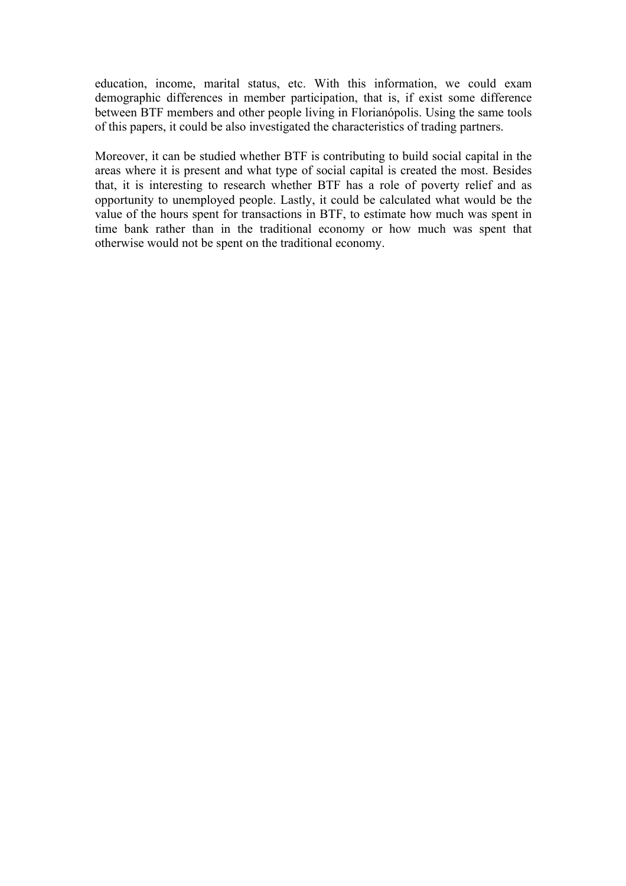education, income, marital status, etc. With this information, we could exam demographic differences in member participation, that is, if exist some difference between BTF members and other people living in Florianópolis. Using the same tools of this papers, it could be also investigated the characteristics of trading partners.

Moreover, it can be studied whether BTF is contributing to build social capital in the areas where it is present and what type of social capital is created the most. Besides that, it is interesting to research whether BTF has a role of poverty relief and as opportunity to unemployed people. Lastly, it could be calculated what would be the value of the hours spent for transactions in BTF, to estimate how much was spent in time bank rather than in the traditional economy or how much was spent that otherwise would not be spent on the traditional economy.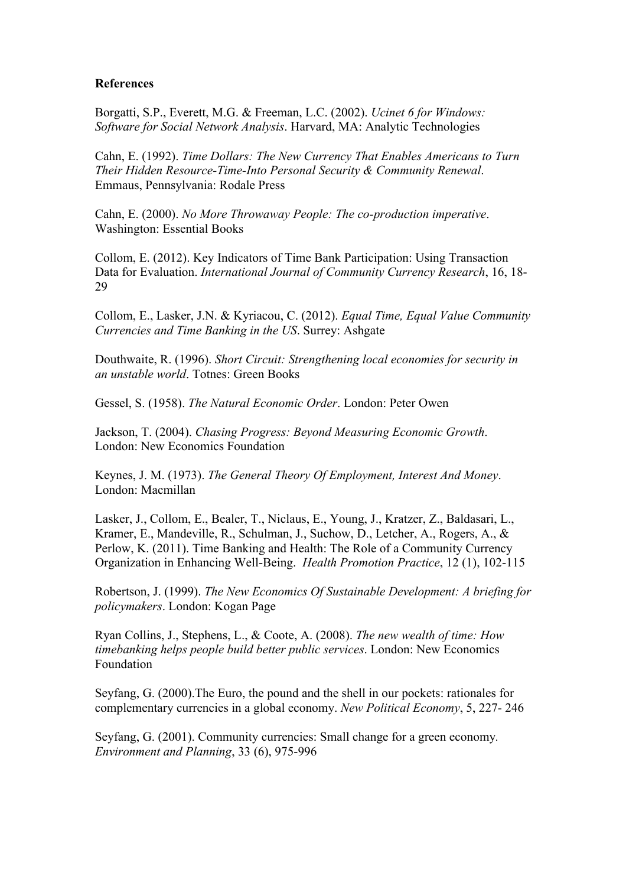### **References**

Borgatti, S.P., Everett, M.G. & Freeman, L.C. (2002). *Ucinet 6 for Windows: Software for Social Network Analysis*. Harvard, MA: Analytic Technologies

Cahn, E. (1992). *Time Dollars: The New Currency That Enables Americans to Turn Their Hidden Resource-Time-Into Personal Security & Community Renewal*. Emmaus, Pennsylvania: Rodale Press

Cahn, E. (2000). *No More Throwaway People: The co-production imperative*. Washington: Essential Books

Collom, E. (2012). Key Indicators of Time Bank Participation: Using Transaction Data for Evaluation. *International Journal of Community Currency Research*, 16, 18- 29

Collom, E., Lasker, J.N. & Kyriacou, C. (2012). *Equal Time, Equal Value Community Currencies and Time Banking in the US*. Surrey: Ashgate

Douthwaite, R. (1996). *Short Circuit: Strengthening local economies for security in an unstable world*. Totnes: Green Books

Gessel, S. (1958). *The Natural Economic Order*. London: Peter Owen

Jackson, T. (2004). *Chasing Progress: Beyond Measuring Economic Growth*. London: New Economics Foundation

Keynes, J. M. (1973). *The General Theory Of Employment, Interest And Money*. London: Macmillan

Lasker, J., Collom, E., Bealer, T., Niclaus, E., Young, J., Kratzer, Z., Baldasari, L., Kramer, E., Mandeville, R., Schulman, J., Suchow, D., Letcher, A., Rogers, A., & Perlow, K. (2011). Time Banking and Health: The Role of a Community Currency Organization in Enhancing Well-Being. *Health Promotion Practice*, 12 (1), 102-115

Robertson, J. (1999). *The New Economics Of Sustainable Development: A briefing for policymakers*. London: Kogan Page

Ryan Collins, J., Stephens, L., & Coote, A. (2008). *The new wealth of time: How timebanking helps people build better public services*. London: New Economics Foundation

Seyfang, G. (2000).The Euro, the pound and the shell in our pockets: rationales for complementary currencies in a global economy. *New Political Economy*, 5, 227- 246

Seyfang, G. (2001). Community currencies: Small change for a green economy*. Environment and Planning*, 33 (6), 975-996